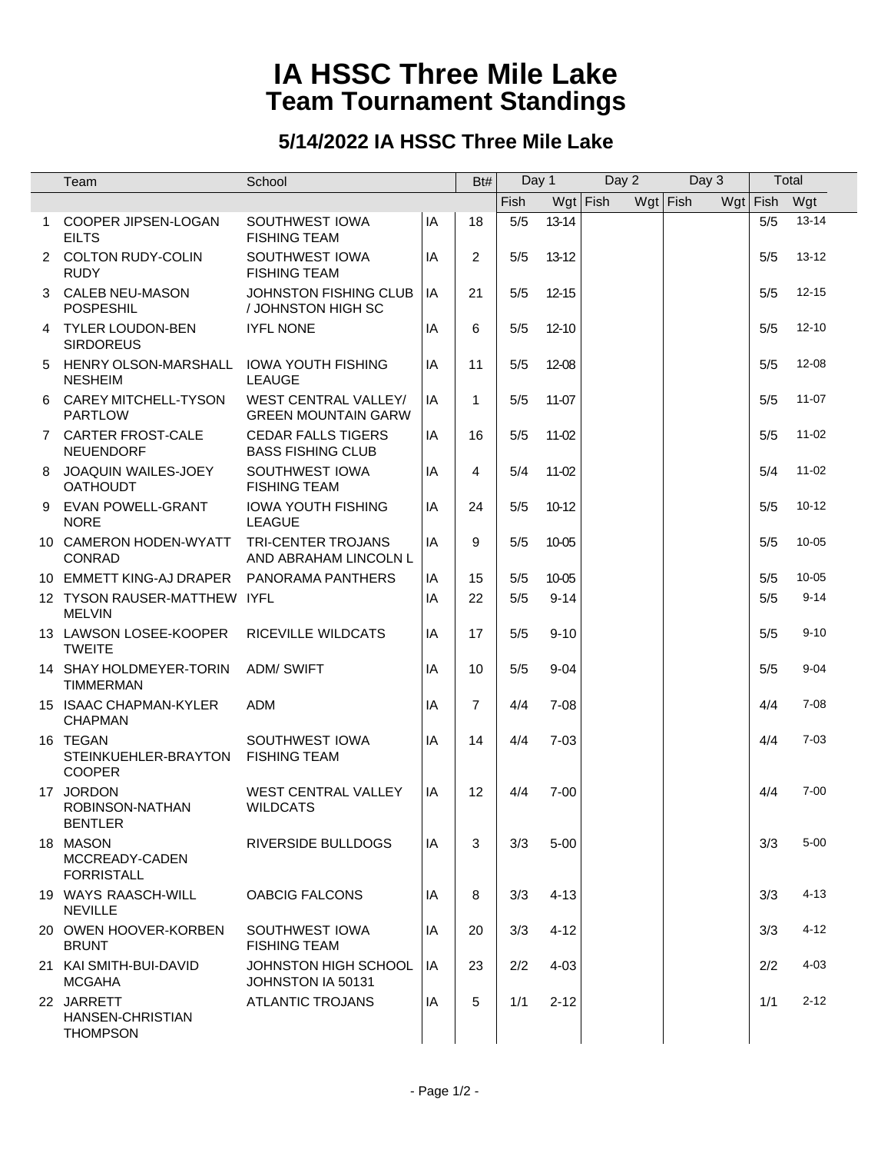## **IA HSSC Three Mile Lake Team Tournament Standings**

## **5/14/2022 IA HSSC Three Mile Lake**

|                | Team                                              | School                                                    |    | Bt#            |             | Day 1     | Day 2    | Day 3      |     |      | Total     |
|----------------|---------------------------------------------------|-----------------------------------------------------------|----|----------------|-------------|-----------|----------|------------|-----|------|-----------|
|                |                                                   |                                                           |    |                | <b>Fish</b> |           | Wgt Fish | $Wgt$ Fish | Wgt | Fish | Wgt       |
|                | 1 COOPER JIPSEN-LOGAN<br><b>EILTS</b>             | SOUTHWEST IOWA<br><b>FISHING TEAM</b>                     | IA | 18             | 5/5         | 13-14     |          |            |     | 5/5  | $13 - 14$ |
| $\overline{2}$ | COLTON RUDY-COLIN<br><b>RUDY</b>                  | SOUTHWEST IOWA<br><b>FISHING TEAM</b>                     | IA | $\overline{2}$ | 5/5         | $13-12$   |          |            |     | 5/5  | $13 - 12$ |
| 3              | <b>CALEB NEU-MASON</b><br><b>POSPESHIL</b>        | JOHNSTON FISHING CLUB<br>/ JOHNSTON HIGH SC               | IA | 21             | 5/5         | $12 - 15$ |          |            |     | 5/5  | $12 - 15$ |
| 4              | <b>TYLER LOUDON-BEN</b><br><b>SIRDOREUS</b>       | <b>IYFL NONE</b>                                          | IA | 6              | 5/5         | $12 - 10$ |          |            |     | 5/5  | $12 - 10$ |
| 5              | HENRY OLSON-MARSHALL<br><b>NESHEIM</b>            | <b>IOWA YOUTH FISHING</b><br><b>LEAUGE</b>                | IA | 11             | 5/5         | 12-08     |          |            |     | 5/5  | $12 - 08$ |
| 6              | CAREY MITCHELL-TYSON<br><b>PARTLOW</b>            | <b>WEST CENTRAL VALLEY/</b><br><b>GREEN MOUNTAIN GARW</b> | IA | $\mathbf{1}$   | 5/5         | 11-07     |          |            |     | 5/5  | $11-07$   |
|                | 7 CARTER FROST-CALE<br><b>NEUENDORF</b>           | <b>CEDAR FALLS TIGERS</b><br><b>BASS FISHING CLUB</b>     | IA | 16             | 5/5         | 11-02     |          |            |     | 5/5  | $11 - 02$ |
|                | 8 JOAQUIN WAILES-JOEY<br><b>OATHOUDT</b>          | SOUTHWEST IOWA<br><b>FISHING TEAM</b>                     | IA | 4              | 5/4         | 11-02     |          |            |     | 5/4  | $11 - 02$ |
|                | 9 EVAN POWELL-GRANT<br><b>NORE</b>                | <b>IOWA YOUTH FISHING</b><br><b>LEAGUE</b>                | IA | 24             | 5/5         | 10-12     |          |            |     | 5/5  | $10 - 12$ |
|                | 10 CAMERON HODEN-WYATT<br><b>CONRAD</b>           | <b>TRI-CENTER TROJANS</b><br>AND ABRAHAM LINCOLN L        | IA | 9              | 5/5         | 10-05     |          |            |     | 5/5  | $10 - 05$ |
|                | 10 EMMETT KING-AJ DRAPER                          | PANORAMA PANTHERS                                         | IA | 15             | 5/5         | 10-05     |          |            |     | 5/5  | $10 - 05$ |
|                | 12 TYSON RAUSER-MATTHEW IYFL<br><b>MELVIN</b>     |                                                           | IA | 22             | 5/5         | $9 - 14$  |          |            |     | 5/5  | $9 - 14$  |
|                | 13 LAWSON LOSEE-KOOPER<br><b>TWEITE</b>           | RICEVILLE WILDCATS                                        | IA | 17             | 5/5         | $9 - 10$  |          |            |     | 5/5  | $9 - 10$  |
|                | 14 SHAY HOLDMEYER-TORIN<br><b>TIMMERMAN</b>       | <b>ADM/ SWIFT</b>                                         | IA | 10             | 5/5         | $9 - 04$  |          |            |     | 5/5  | $9 - 04$  |
|                | 15 ISAAC CHAPMAN-KYLER<br><b>CHAPMAN</b>          | <b>ADM</b>                                                | IA | $\overline{7}$ | 4/4         | $7 - 08$  |          |            |     | 4/4  | $7 - 08$  |
|                | 16 TEGAN<br>STEINKUEHLER-BRAYTON<br><b>COOPER</b> | SOUTHWEST IOWA<br><b>FISHING TEAM</b>                     | IA | 14             | 4/4         | $7 - 03$  |          |            |     | 4/4  | $7 - 03$  |
|                | 17 JORDON<br>ROBINSON-NATHAN<br><b>BENILER</b>    | <b>WEST CENTRAL VALLEY</b><br><b>WILDCATS</b>             | IA | 12             | 4/4         | $7 - 00$  |          |            |     | 4/4  | $7 - 00$  |
|                | 18 MASON<br>MCCREADY-CADEN<br><b>FORRISTALL</b>   | RIVERSIDE BULLDOGS                                        | IA | 3              | 3/3         | $5 - 00$  |          |            |     | 3/3  | $5 - 00$  |
|                | 19 WAYS RAASCH-WILL<br><b>NEVILLE</b>             | <b>OABCIG FALCONS</b>                                     | IA | 8              | 3/3         | $4 - 13$  |          |            |     | 3/3  | $4 - 13$  |
|                | 20 OWEN HOOVER-KORBEN<br><b>BRUNT</b>             | SOUTHWEST IOWA<br><b>FISHING TEAM</b>                     | IA | 20             | 3/3         | $4 - 12$  |          |            |     | 3/3  | $4 - 12$  |
|                | 21 KAI SMITH-BUI-DAVID<br><b>MCGAHA</b>           | JOHNSTON HIGH SCHOOL<br>JOHNSTON IA 50131                 | IA | 23             | 2/2         | $4 - 03$  |          |            |     | 2/2  | $4 - 03$  |
|                | 22 JARRETT<br>HANSEN-CHRISTIAN<br><b>THOMPSON</b> | <b>ATLANTIC TROJANS</b>                                   | IA | 5              | 1/1         | $2 - 12$  |          |            |     | 1/1  | $2 - 12$  |